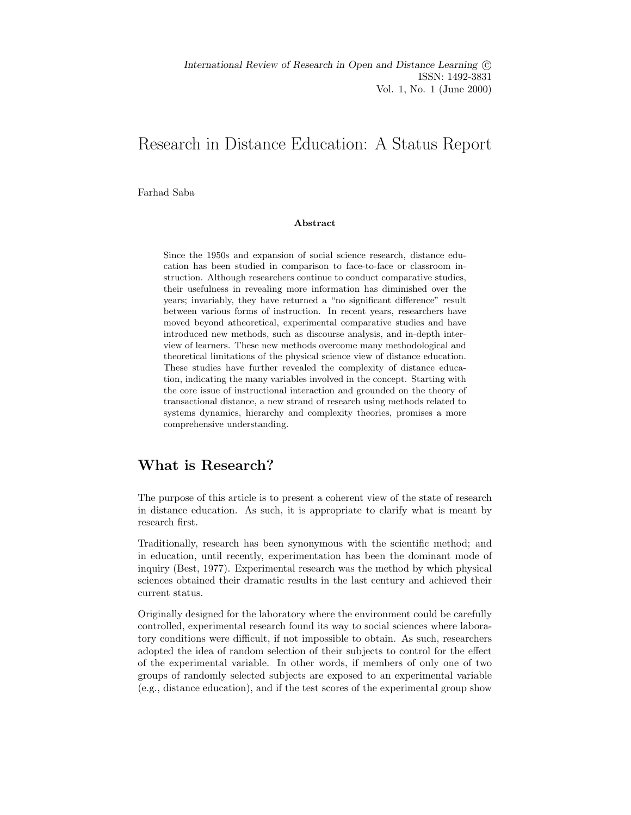International Review of Research in Open and Distance Learning  $\odot$ ISSN: 1492-3831 Vol. 1, No. 1 (June 2000)

# Research in Distance Education: A Status Report

Farhad Saba

#### Abstract

Since the 1950s and expansion of social science research, distance education has been studied in comparison to face-to-face or classroom instruction. Although researchers continue to conduct comparative studies, their usefulness in revealing more information has diminished over the years; invariably, they have returned a "no significant difference" result between various forms of instruction. In recent years, researchers have moved beyond atheoretical, experimental comparative studies and have introduced new methods, such as discourse analysis, and in-depth interview of learners. These new methods overcome many methodological and theoretical limitations of the physical science view of distance education. These studies have further revealed the complexity of distance education, indicating the many variables involved in the concept. Starting with the core issue of instructional interaction and grounded on the theory of transactional distance, a new strand of research using methods related to systems dynamics, hierarchy and complexity theories, promises a more comprehensive understanding.

### What is Research?

The purpose of this article is to present a coherent view of the state of research in distance education. As such, it is appropriate to clarify what is meant by research first.

Traditionally, research has been synonymous with the scientific method; and in education, until recently, experimentation has been the dominant mode of inquiry (Best, 1977). Experimental research was the method by which physical sciences obtained their dramatic results in the last century and achieved their current status.

Originally designed for the laboratory where the environment could be carefully controlled, experimental research found its way to social sciences where laboratory conditions were difficult, if not impossible to obtain. As such, researchers adopted the idea of random selection of their subjects to control for the effect of the experimental variable. In other words, if members of only one of two groups of randomly selected subjects are exposed to an experimental variable (e.g., distance education), and if the test scores of the experimental group show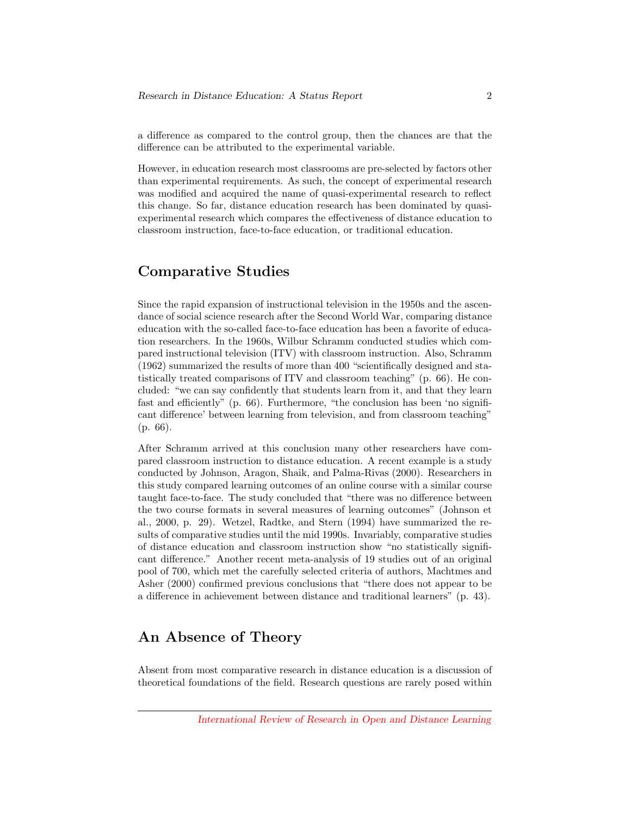a difference as compared to the control group, then the chances are that the difference can be attributed to the experimental variable.

However, in education research most classrooms are pre-selected by factors other than experimental requirements. As such, the concept of experimental research was modified and acquired the name of quasi-experimental research to reflect this change. So far, distance education research has been dominated by quasiexperimental research which compares the effectiveness of distance education to classroom instruction, face-to-face education, or traditional education.

# Comparative Studies

Since the rapid expansion of instructional television in the 1950s and the ascendance of social science research after the Second World War, comparing distance education with the so-called face-to-face education has been a favorite of education researchers. In the 1960s, Wilbur Schramm conducted studies which compared instructional television (ITV) with classroom instruction. Also, Schramm (1962) summarized the results of more than 400 "scientifically designed and statistically treated comparisons of ITV and classroom teaching" (p. 66). He concluded: "we can say confidently that students learn from it, and that they learn fast and efficiently" (p. 66). Furthermore, "the conclusion has been 'no significant difference' between learning from television, and from classroom teaching" (p. 66).

After Schramm arrived at this conclusion many other researchers have compared classroom instruction to distance education. A recent example is a study conducted by Johnson, Aragon, Shaik, and Palma-Rivas (2000). Researchers in this study compared learning outcomes of an online course with a similar course taught face-to-face. The study concluded that "there was no difference between the two course formats in several measures of learning outcomes" (Johnson et al., 2000, p. 29). Wetzel, Radtke, and Stern (1994) have summarized the results of comparative studies until the mid 1990s. Invariably, comparative studies of distance education and classroom instruction show "no statistically significant difference." Another recent meta-analysis of 19 studies out of an original pool of 700, which met the carefully selected criteria of authors, Machtmes and Asher (2000) confirmed previous conclusions that "there does not appear to be a difference in achievement between distance and traditional learners" (p. 43).

#### An Absence of Theory

Absent from most comparative research in distance education is a discussion of theoretical foundations of the field. Research questions are rarely posed within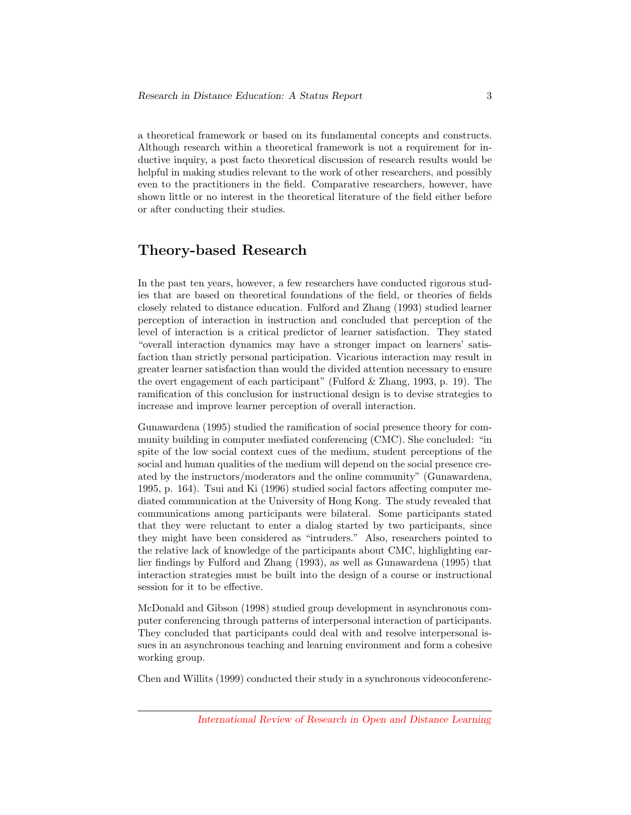a theoretical framework or based on its fundamental concepts and constructs. Although research within a theoretical framework is not a requirement for inductive inquiry, a post facto theoretical discussion of research results would be helpful in making studies relevant to the work of other researchers, and possibly even to the practitioners in the field. Comparative researchers, however, have shown little or no interest in the theoretical literature of the field either before or after conducting their studies.

# Theory-based Research

In the past ten years, however, a few researchers have conducted rigorous studies that are based on theoretical foundations of the field, or theories of fields closely related to distance education. Fulford and Zhang (1993) studied learner perception of interaction in instruction and concluded that perception of the level of interaction is a critical predictor of learner satisfaction. They stated "overall interaction dynamics may have a stronger impact on learners' satisfaction than strictly personal participation. Vicarious interaction may result in greater learner satisfaction than would the divided attention necessary to ensure the overt engagement of each participant" (Fulford & Zhang, 1993, p. 19). The ramification of this conclusion for instructional design is to devise strategies to increase and improve learner perception of overall interaction.

Gunawardena (1995) studied the ramification of social presence theory for community building in computer mediated conferencing (CMC). She concluded: "in spite of the low social context cues of the medium, student perceptions of the social and human qualities of the medium will depend on the social presence created by the instructors/moderators and the online community" (Gunawardena, 1995, p. 164). Tsui and Ki (1996) studied social factors affecting computer mediated communication at the University of Hong Kong. The study revealed that communications among participants were bilateral. Some participants stated that they were reluctant to enter a dialog started by two participants, since they might have been considered as "intruders." Also, researchers pointed to the relative lack of knowledge of the participants about CMC, highlighting earlier findings by Fulford and Zhang (1993), as well as Gunawardena (1995) that interaction strategies must be built into the design of a course or instructional session for it to be effective.

McDonald and Gibson (1998) studied group development in asynchronous computer conferencing through patterns of interpersonal interaction of participants. They concluded that participants could deal with and resolve interpersonal issues in an asynchronous teaching and learning environment and form a cohesive working group.

Chen and Willits (1999) conducted their study in a synchronous videoconferenc-

[International Review of Research in Open and Distance Learning](http://www.irrodl.org)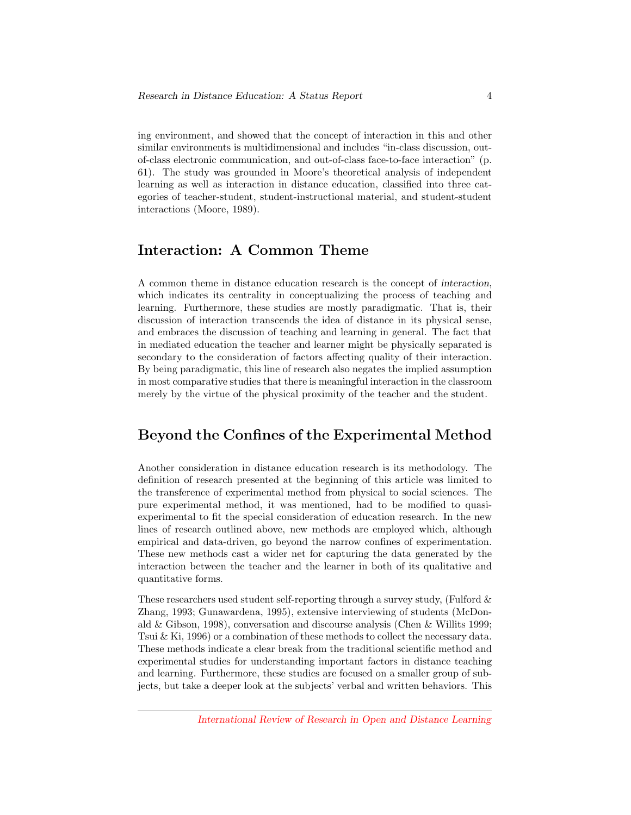ing environment, and showed that the concept of interaction in this and other similar environments is multidimensional and includes "in-class discussion, outof-class electronic communication, and out-of-class face-to-face interaction" (p. 61). The study was grounded in Moore's theoretical analysis of independent learning as well as interaction in distance education, classified into three categories of teacher-student, student-instructional material, and student-student interactions (Moore, 1989).

# Interaction: A Common Theme

A common theme in distance education research is the concept of interaction, which indicates its centrality in conceptualizing the process of teaching and learning. Furthermore, these studies are mostly paradigmatic. That is, their discussion of interaction transcends the idea of distance in its physical sense, and embraces the discussion of teaching and learning in general. The fact that in mediated education the teacher and learner might be physically separated is secondary to the consideration of factors affecting quality of their interaction. By being paradigmatic, this line of research also negates the implied assumption in most comparative studies that there is meaningful interaction in the classroom merely by the virtue of the physical proximity of the teacher and the student.

### Beyond the Confines of the Experimental Method

Another consideration in distance education research is its methodology. The definition of research presented at the beginning of this article was limited to the transference of experimental method from physical to social sciences. The pure experimental method, it was mentioned, had to be modified to quasiexperimental to fit the special consideration of education research. In the new lines of research outlined above, new methods are employed which, although empirical and data-driven, go beyond the narrow confines of experimentation. These new methods cast a wider net for capturing the data generated by the interaction between the teacher and the learner in both of its qualitative and quantitative forms.

These researchers used student self-reporting through a survey study, (Fulford & Zhang, 1993; Gunawardena, 1995), extensive interviewing of students (McDonald & Gibson, 1998), conversation and discourse analysis (Chen & Willits 1999; Tsui & Ki, 1996) or a combination of these methods to collect the necessary data. These methods indicate a clear break from the traditional scientific method and experimental studies for understanding important factors in distance teaching and learning. Furthermore, these studies are focused on a smaller group of subjects, but take a deeper look at the subjects' verbal and written behaviors. This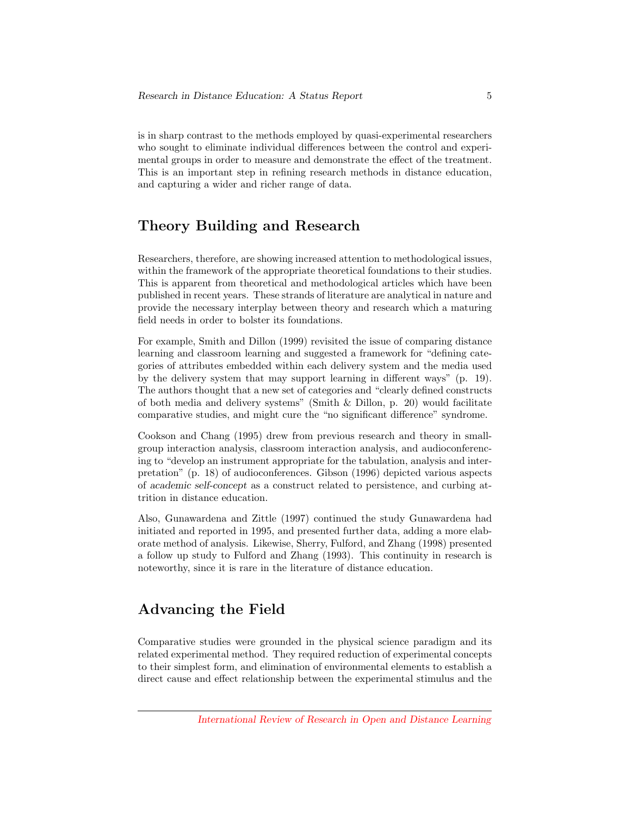is in sharp contrast to the methods employed by quasi-experimental researchers who sought to eliminate individual differences between the control and experimental groups in order to measure and demonstrate the effect of the treatment. This is an important step in refining research methods in distance education, and capturing a wider and richer range of data.

# Theory Building and Research

Researchers, therefore, are showing increased attention to methodological issues, within the framework of the appropriate theoretical foundations to their studies. This is apparent from theoretical and methodological articles which have been published in recent years. These strands of literature are analytical in nature and provide the necessary interplay between theory and research which a maturing field needs in order to bolster its foundations.

For example, Smith and Dillon (1999) revisited the issue of comparing distance learning and classroom learning and suggested a framework for "defining categories of attributes embedded within each delivery system and the media used by the delivery system that may support learning in different ways" (p. 19). The authors thought that a new set of categories and "clearly defined constructs of both media and delivery systems" (Smith & Dillon, p. 20) would facilitate comparative studies, and might cure the "no significant difference" syndrome.

Cookson and Chang (1995) drew from previous research and theory in smallgroup interaction analysis, classroom interaction analysis, and audioconferencing to "develop an instrument appropriate for the tabulation, analysis and interpretation" (p. 18) of audioconferences. Gibson (1996) depicted various aspects of academic self-concept as a construct related to persistence, and curbing attrition in distance education.

Also, Gunawardena and Zittle (1997) continued the study Gunawardena had initiated and reported in 1995, and presented further data, adding a more elaborate method of analysis. Likewise, Sherry, Fulford, and Zhang (1998) presented a follow up study to Fulford and Zhang (1993). This continuity in research is noteworthy, since it is rare in the literature of distance education.

# Advancing the Field

Comparative studies were grounded in the physical science paradigm and its related experimental method. They required reduction of experimental concepts to their simplest form, and elimination of environmental elements to establish a direct cause and effect relationship between the experimental stimulus and the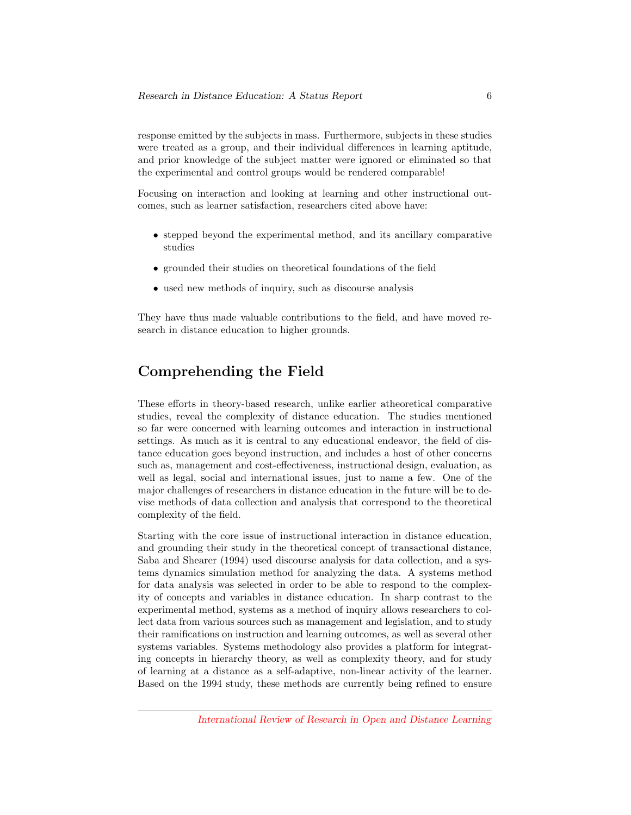response emitted by the subjects in mass. Furthermore, subjects in these studies were treated as a group, and their individual differences in learning aptitude, and prior knowledge of the subject matter were ignored or eliminated so that the experimental and control groups would be rendered comparable!

Focusing on interaction and looking at learning and other instructional outcomes, such as learner satisfaction, researchers cited above have:

- stepped beyond the experimental method, and its ancillary comparative studies
- grounded their studies on theoretical foundations of the field
- used new methods of inquiry, such as discourse analysis

They have thus made valuable contributions to the field, and have moved research in distance education to higher grounds.

# Comprehending the Field

These efforts in theory-based research, unlike earlier atheoretical comparative studies, reveal the complexity of distance education. The studies mentioned so far were concerned with learning outcomes and interaction in instructional settings. As much as it is central to any educational endeavor, the field of distance education goes beyond instruction, and includes a host of other concerns such as, management and cost-effectiveness, instructional design, evaluation, as well as legal, social and international issues, just to name a few. One of the major challenges of researchers in distance education in the future will be to devise methods of data collection and analysis that correspond to the theoretical complexity of the field.

Starting with the core issue of instructional interaction in distance education, and grounding their study in the theoretical concept of transactional distance, Saba and Shearer (1994) used discourse analysis for data collection, and a systems dynamics simulation method for analyzing the data. A systems method for data analysis was selected in order to be able to respond to the complexity of concepts and variables in distance education. In sharp contrast to the experimental method, systems as a method of inquiry allows researchers to collect data from various sources such as management and legislation, and to study their ramifications on instruction and learning outcomes, as well as several other systems variables. Systems methodology also provides a platform for integrating concepts in hierarchy theory, as well as complexity theory, and for study of learning at a distance as a self-adaptive, non-linear activity of the learner. Based on the 1994 study, these methods are currently being refined to ensure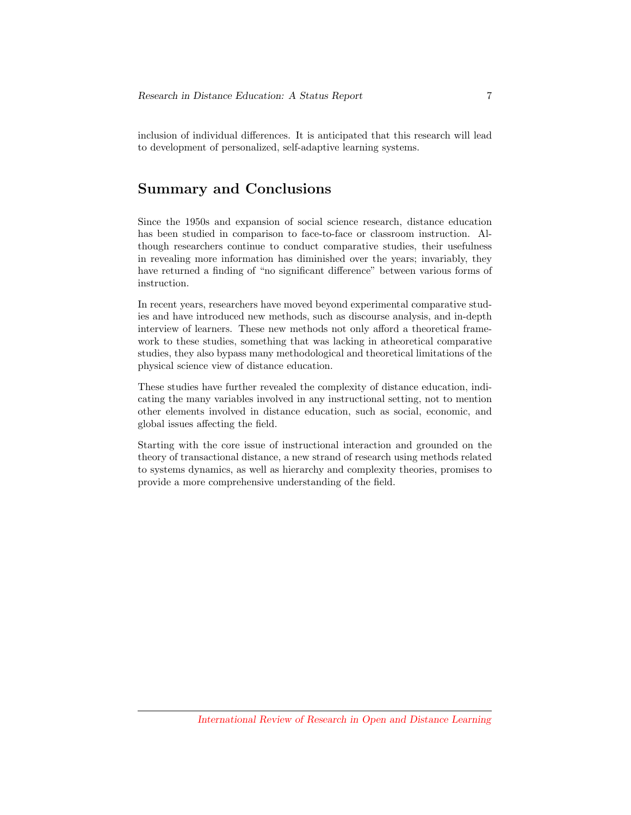inclusion of individual differences. It is anticipated that this research will lead to development of personalized, self-adaptive learning systems.

#### Summary and Conclusions

Since the 1950s and expansion of social science research, distance education has been studied in comparison to face-to-face or classroom instruction. Although researchers continue to conduct comparative studies, their usefulness in revealing more information has diminished over the years; invariably, they have returned a finding of "no significant difference" between various forms of instruction.

In recent years, researchers have moved beyond experimental comparative studies and have introduced new methods, such as discourse analysis, and in-depth interview of learners. These new methods not only afford a theoretical framework to these studies, something that was lacking in atheoretical comparative studies, they also bypass many methodological and theoretical limitations of the physical science view of distance education.

These studies have further revealed the complexity of distance education, indicating the many variables involved in any instructional setting, not to mention other elements involved in distance education, such as social, economic, and global issues affecting the field.

Starting with the core issue of instructional interaction and grounded on the theory of transactional distance, a new strand of research using methods related to systems dynamics, as well as hierarchy and complexity theories, promises to provide a more comprehensive understanding of the field.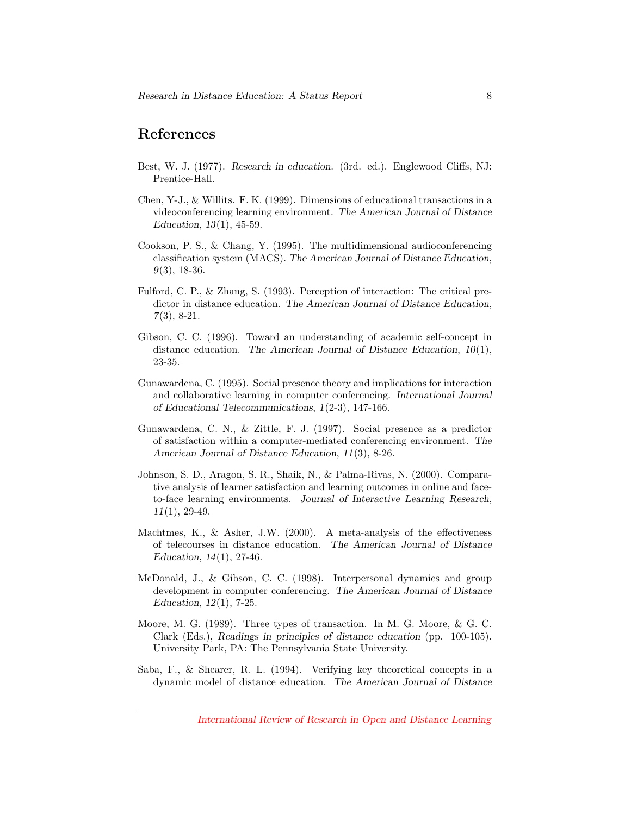#### References

- Best, W. J. (1977). Research in education. (3rd. ed.). Englewood Cliffs, NJ: Prentice-Hall.
- Chen, Y-J., & Willits. F. K. (1999). Dimensions of educational transactions in a videoconferencing learning environment. The American Journal of Distance Education, 13(1), 45-59.
- Cookson, P. S., & Chang, Y. (1995). The multidimensional audioconferencing classification system (MACS). The American Journal of Distance Education, 9(3), 18-36.
- Fulford, C. P., & Zhang, S. (1993). Perception of interaction: The critical predictor in distance education. The American Journal of Distance Education, 7(3), 8-21.
- Gibson, C. C. (1996). Toward an understanding of academic self-concept in distance education. The American Journal of Distance Education,  $10(1)$ , 23-35.
- Gunawardena, C. (1995). Social presence theory and implications for interaction and collaborative learning in computer conferencing. International Journal of Educational Telecommunications, 1(2-3), 147-166.
- Gunawardena, C. N., & Zittle, F. J. (1997). Social presence as a predictor of satisfaction within a computer-mediated conferencing environment. The American Journal of Distance Education, 11(3), 8-26.
- Johnson, S. D., Aragon, S. R., Shaik, N., & Palma-Rivas, N. (2000). Comparative analysis of learner satisfaction and learning outcomes in online and faceto-face learning environments. Journal of Interactive Learning Research, 11(1), 29-49.
- Machtmes, K., & Asher, J.W. (2000). A meta-analysis of the effectiveness of telecourses in distance education. The American Journal of Distance Education, 14(1), 27-46.
- McDonald, J., & Gibson, C. C. (1998). Interpersonal dynamics and group development in computer conferencing. The American Journal of Distance Education, 12(1), 7-25.
- Moore, M. G. (1989). Three types of transaction. In M. G. Moore, & G. C. Clark (Eds.), Readings in principles of distance education (pp. 100-105). University Park, PA: The Pennsylvania State University.
- Saba, F., & Shearer, R. L. (1994). Verifying key theoretical concepts in a dynamic model of distance education. The American Journal of Distance

[International Review of Research in Open and Distance Learning](http://www.irrodl.org)